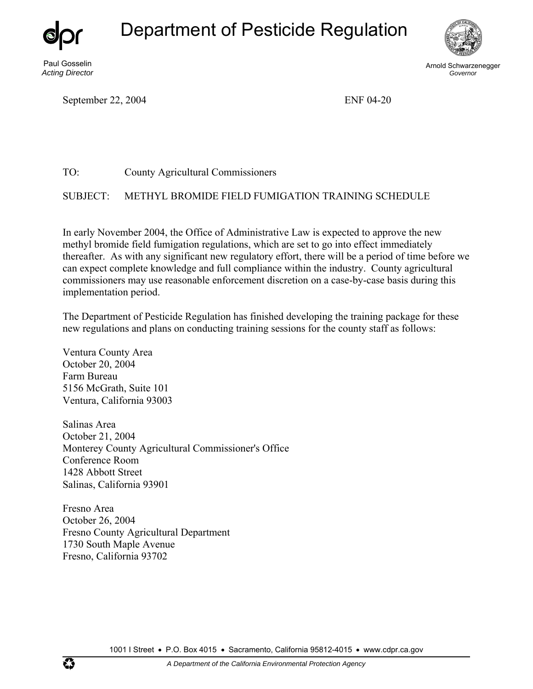## Department of Pesticide Regulation

Paul Gosselin *Acting Director* 



Arnold Schwarzenegger *Governor* 

September 22, 2004

ENF 04-20

TO: County Agricultural Commissioners

SUBJECT: METHYL BROMIDE FIELD FUMIGATION TRAINING SCHEDULE

In early November 2004, the Office of Administrative Law is expected to approve the new methyl bromide field fumigation regulations, which are set to go into effect immediately thereafter. As with any significant new regulatory effort, there will be a period of time before we can expect complete knowledge and full compliance within the industry. County agricultural commissioners may use reasonable enforcement discretion on a case-by-case basis during this implementation period.

The Department of Pesticide Regulation has finished developing the training package for these new regulations and plans on conducting training sessions for the county staff as follows:

Ventura County Area October 20, 2004 Farm Bureau 5156 McGrath, Suite 101 Ventura, California 93003

Salinas Area October 21, 2004 Monterey County Agricultural Commissioner's Office Conference Room 1428 Abbott Street Salinas, California 93901

Fresno Area October 26, 2004 Fresno County Agricultural Department 1730 South Maple Avenue Fresno, California 93702

1001 I Street • P.O. Box 4015 • Sacramento, California 95812-4015 • www.cdpr.ca.gov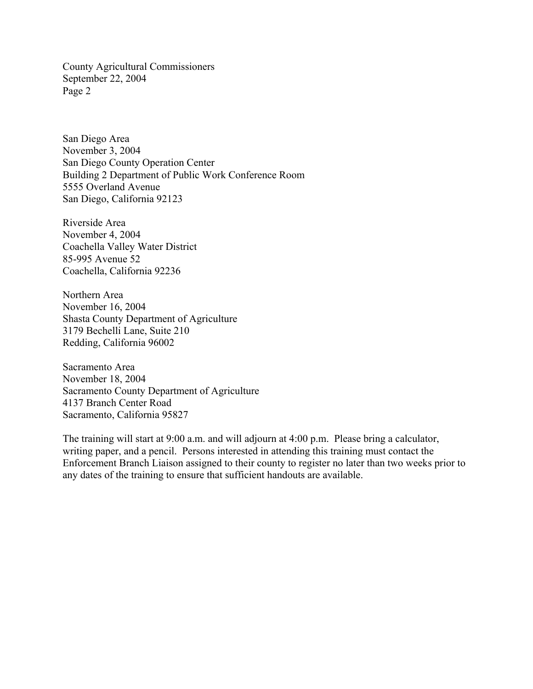County Agricultural Commissioners September 22, 2004 Page 2

San Diego Area November 3, 2004 San Diego County Operation Center Building 2 Department of Public Work Conference Room 5555 Overland Avenue San Diego, California 92123

Riverside Area November 4, 2004 Coachella Valley Water District 85-995 Avenue 52 Coachella, California 92236

Northern Area November 16, 2004 Shasta County Department of Agriculture 3179 Bechelli Lane, Suite 210 Redding, California 96002

Sacramento Area November 18, 2004 Sacramento County Department of Agriculture 4137 Branch Center Road Sacramento, California 95827

The training will start at 9:00 a.m. and will adjourn at 4:00 p.m. Please bring a calculator, writing paper, and a pencil. Persons interested in attending this training must contact the Enforcement Branch Liaison assigned to their county to register no later than two weeks prior to any dates of the training to ensure that sufficient handouts are available.